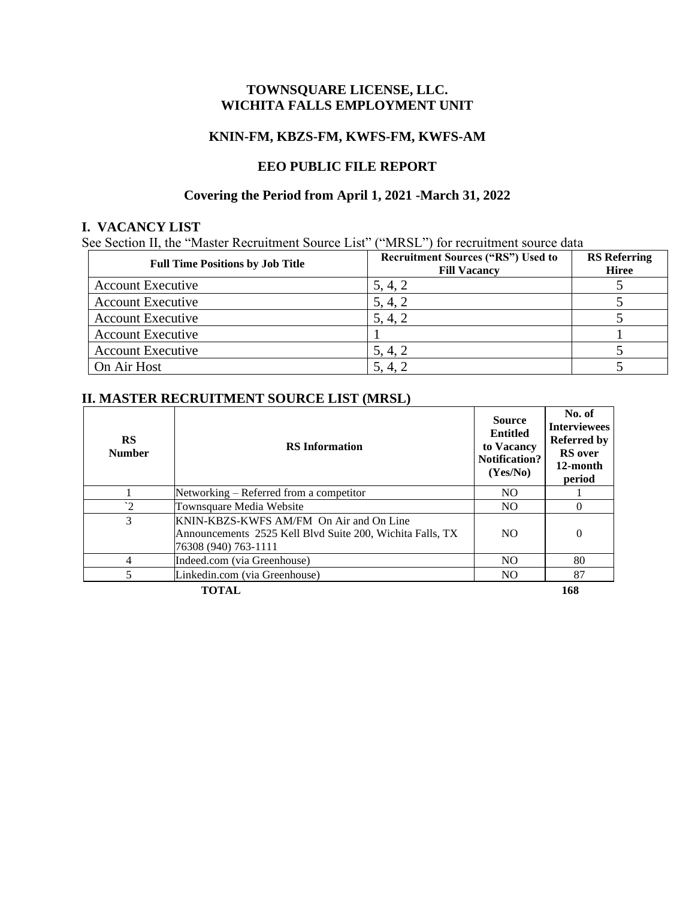## **TOWNSQUARE LICENSE, LLC. WICHITA FALLS EMPLOYMENT UNIT**

#### **KNIN-FM, KBZS-FM, KWFS-FM, KWFS-AM**

### **EEO PUBLIC FILE REPORT**

# **Covering the Period from April 1, 2021 -March 31, 2022**

### **I. VACANCY LIST**

See Section II, the "Master Recruitment Source List" ("MRSL") for recruitment source data

| <b>Full Time Positions by Job Title</b> | <b>Recruitment Sources ("RS") Used to</b><br><b>Fill Vacancy</b> | <b>RS</b> Referring<br><b>Hiree</b> |
|-----------------------------------------|------------------------------------------------------------------|-------------------------------------|
| <b>Account Executive</b>                | 5, 4, 2                                                          |                                     |
| <b>Account Executive</b>                | 5, 4, 2                                                          |                                     |
| <b>Account Executive</b>                | 5, 4, 2                                                          |                                     |
| <b>Account Executive</b>                |                                                                  |                                     |
| <b>Account Executive</b>                | 5, 4, 2                                                          |                                     |
| On Air Host                             | 5, 4, 2                                                          |                                     |

## **II. MASTER RECRUITMENT SOURCE LIST (MRSL)**

| RS<br><b>Number</b> | <b>RS</b> Information                                                                                                        | <b>Source</b><br><b>Entitled</b><br>to Vacancy<br><b>Notification?</b><br>(Yes/No) | No. of<br><b>Interviewees</b><br><b>Referred by</b><br><b>RS</b> over<br>12-month<br>period |
|---------------------|------------------------------------------------------------------------------------------------------------------------------|------------------------------------------------------------------------------------|---------------------------------------------------------------------------------------------|
|                     | Networking – Referred from a competitor                                                                                      | N <sub>O</sub>                                                                     |                                                                                             |
| $\gamma$            | Townsquare Media Website                                                                                                     | N <sub>O</sub>                                                                     | $\Omega$                                                                                    |
| 3                   | KNIN-KBZS-KWFS AM/FM On Air and On Line<br>Announcements 2525 Kell Blvd Suite 200, Wichita Falls, TX<br>76308 (940) 763-1111 | N <sub>O</sub>                                                                     | $\Omega$                                                                                    |
| 4                   | Indeed.com (via Greenhouse)                                                                                                  | N <sub>O</sub>                                                                     | 80                                                                                          |
| 5                   | Linkedin.com (via Greenhouse)                                                                                                | <b>NO</b>                                                                          | 87                                                                                          |
| TOTAL               |                                                                                                                              |                                                                                    | 168                                                                                         |